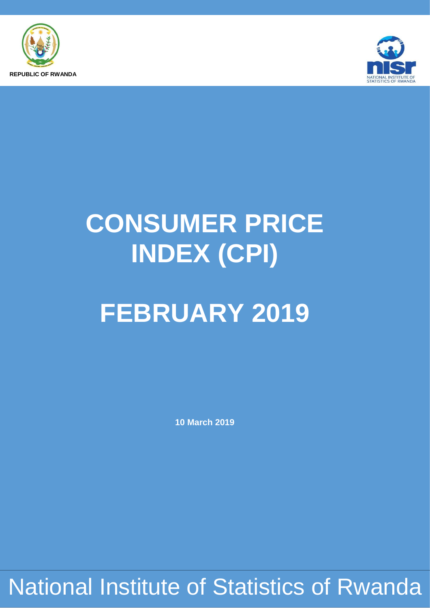



# **CONSUMER PRICE INDEX (CPI)**

# **FEBRUARY 2019**

**10 March 2019**

National Institute of Statistics of Rwanda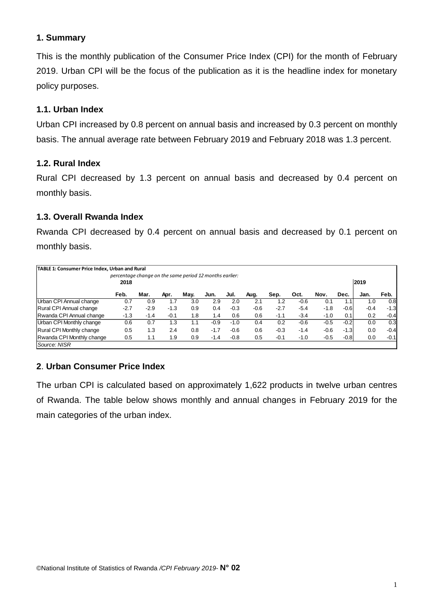## **1. Summary**

This is the monthly publication of the Consumer Price Index (CPI) for the month of February 2019. Urban CPI will be the focus of the publication as it is the headline index for monetary policy purposes.

## **1.1. Urban Index**

Urban CPI increased by 0.8 percent on annual basis and increased by 0.3 percent on monthly basis. The annual average rate between February 2019 and February 2018 was 1.3 percent.

#### **1.2. Rural Index**

Rural CPI decreased by 1.3 percent on annual basis and decreased by 0.4 percent on monthly basis.

### **1.3. Overall Rwanda Index**

Rwanda CPI decreased by 0.4 percent on annual basis and decreased by 0.1 percent on monthly basis.

| TABLE 1: Consumer Price Index, Urban and Rural |        |                                                         |        |      |        |        |        |        |        |        |        |        |        |
|------------------------------------------------|--------|---------------------------------------------------------|--------|------|--------|--------|--------|--------|--------|--------|--------|--------|--------|
|                                                | 2018   | percentage change on the same period 12 months earlier: |        |      |        |        |        |        |        |        |        | 2019   |        |
|                                                | Feb.   | Mar.                                                    | Apr.   | Mav. | Jun.   | Jul.   | Aug.   | Sep.   | Oct.   | Nov.   | Dec.   | Jan.   | Feb.   |
| Urban CPI Annual change                        | 0.7    | 0.9                                                     | 1.7    | 3.0  | 2.9    | 2.0    | 2.1    | 1.2    | $-0.6$ | 0.1    | 1.1    | 1.0    | 0.8    |
| Rural CPI Annual change                        | $-2.7$ | $-2.9$                                                  | $-1.3$ | 0.9  | 0.4    | $-0.3$ | $-0.6$ | $-2.7$ | $-5.4$ | $-1.8$ | $-0.6$ | $-0.4$ | $-1.3$ |
| Rwanda CPI Annual change                       | $-1.3$ | $-1.4$                                                  | $-0.1$ | 1.8  | 1.4    | 0.6    | 0.6    | $-1.1$ | $-3.4$ | $-1.0$ | 0.1    | 0.2    | $-0.4$ |
| Urban CPI Monthly change                       | 0.6    | 0.7                                                     | 1.3    | 1.1  | $-0.9$ | $-1.0$ | 0.4    | 0.2    | $-0.6$ | $-0.5$ | $-0.2$ | 0.0    | 0.3    |
| <b>Rural CPI Monthly change</b>                | 0.5    | 1.3                                                     | 2.4    | 0.8  | $-1.7$ | $-0.6$ | 0.6    | $-0.3$ | $-1.4$ | $-0.6$ | $-1.3$ | 0.0    | $-0.4$ |
| Rwanda CPI Monthly change                      | 0.5    | 1.1                                                     | 1.9    | 0.9  | $-1.4$ | $-0.8$ | 0.5    | $-0.1$ | $-1.0$ | $-0.5$ | $-0.8$ | 0.0    | $-0.1$ |
| Source: NISR                                   |        |                                                         |        |      |        |        |        |        |        |        |        |        |        |

## **2**. **Urban Consumer Price Index**

The urban CPI is calculated based on approximately 1,622 products in twelve urban centres of Rwanda. The table below shows monthly and annual changes in February 2019 for the main categories of the urban index.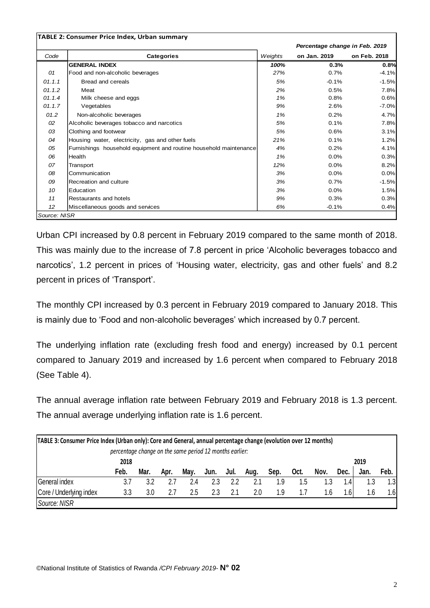|              | <b>TABLE 2: Consumer Price Index, Urban summary</b>               |         | Percentage change in Feb. 2019 |              |
|--------------|-------------------------------------------------------------------|---------|--------------------------------|--------------|
| Code         | <b>Categories</b>                                                 | Weights | on Jan. 2019                   | on Feb. 2018 |
|              | <b>GENERAL INDEX</b>                                              | 100%    | 0.3%                           | 0.8%         |
| 01           | Food and non-alcoholic beverages                                  | 27%     | 0.7%                           | $-4.1%$      |
| 01.1.1       | <b>Bread and cereals</b>                                          | 5%      | $-0.1%$                        | $-1.5%$      |
| 01.1.2       | Meat                                                              | 2%      | 0.5%                           | 7.8%         |
| 01.1.4       | Milk cheese and eggs                                              | 1%      | 0.8%                           | 0.6%         |
| 01.1.7       | Vegetables                                                        | 9%      | 2.6%                           | $-7.0%$      |
| 01.2         | Non-alcoholic beverages                                           | 1%      | 0.2%                           | 4.7%         |
| 02           | Alcoholic beverages tobacco and narcotics                         | 5%      | 0.1%                           | 7.8%         |
| 03           | Clothing and footwear                                             | 5%      | 0.6%                           | 3.1%         |
| 04           | Housing water, electricity, gas and other fuels                   | 21%     | 0.1%                           | 1.2%         |
| 05           | Furnishings household equipment and routine household maintenance | 4%      | 0.2%                           | 4.1%         |
| 06           | Health                                                            | 1%      | 0.0%                           | 0.3%         |
| 07           | Transport                                                         | 12%     | $0.0\%$                        | 8.2%         |
| 08           | Communication                                                     | 3%      | 0.0%                           | 0.0%         |
| 09           | Recreation and culture                                            | 3%      | 0.7%                           | $-1.5%$      |
| 10           | Education                                                         | 3%      | 0.0%                           | 1.5%         |
| 11           | Restaurants and hotels                                            | 9%      | 0.3%                           | 0.3%         |
| 12           | Miscellaneous goods and services                                  | 6%      | $-0.1%$                        | 0.4%         |
| Source: NISR |                                                                   |         |                                |              |

Urban CPI increased by 0.8 percent in February 2019 compared to the same month of 2018. This was mainly due to the increase of 7.8 percent in price 'Alcoholic beverages tobacco and narcotics', 1.2 percent in prices of 'Housing water, electricity, gas and other fuels' and 8.2 percent in prices of 'Transport'.

The monthly CPI increased by 0.3 percent in February 2019 compared to January 2018. This is mainly due to 'Food and non-alcoholic beverages' which increased by 0.7 percent.

The underlying inflation rate (excluding fresh food and energy) increased by 0.1 percent compared to January 2019 and increased by 1.6 percent when compared to February 2018 (See Table 4).

The annual average inflation rate between February 2019 and February 2018 is 1.3 percent. The annual average underlying inflation rate is 1.6 percent.

| TABLE 3: Consumer Price Index (Urban only): Core and General, annual percentage change (evolution over 12 months)<br>percentage change on the same period 12 months earlier: |      |      |      |      |      |      |      |      |      |      |      |      |      |
|------------------------------------------------------------------------------------------------------------------------------------------------------------------------------|------|------|------|------|------|------|------|------|------|------|------|------|------|
|                                                                                                                                                                              | 2018 |      |      |      |      |      |      |      |      |      |      | 2019 |      |
|                                                                                                                                                                              | Feb. | Mar. | Apr. | Mav. | Jun. | Jul. | Aug. | Sep. | Oct. | Nov. | Dec. | Jan. | Feb. |
| General index                                                                                                                                                                | 3.7  | 3.2  | 2.7  | 2.4  |      | 2.2  | 2.1  | 1.9  | 1.5  | 1.3  | 1.4  | 1.3  | 1.3  |
| Core / Underlying index                                                                                                                                                      | 3.3  | 3.0  | 2.7  | 2.5  | 2.3  |      | 2.0  | 1.9  |      | 1.6  | 1.61 | . 6  | 1.6  |
| Source: NISR                                                                                                                                                                 |      |      |      |      |      |      |      |      |      |      |      |      |      |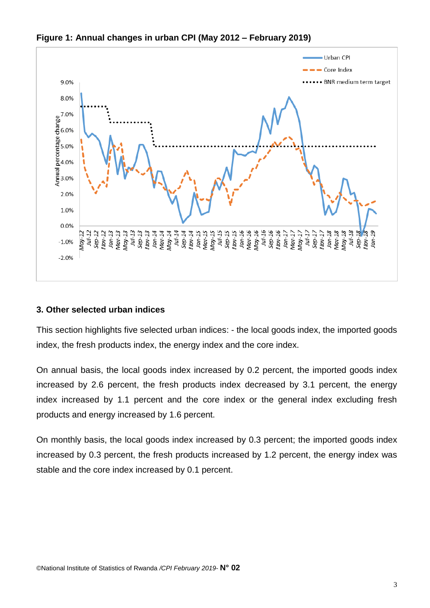

**Figure 1: Annual changes in urban CPI (May 2012 – February 2019)**

## **3. Other selected urban indices**

This section highlights five selected urban indices: - the local goods index, the imported goods index, the fresh products index, the energy index and the core index.

On annual basis, the local goods index increased by 0.2 percent, the imported goods index increased by 2.6 percent, the fresh products index decreased by 3.1 percent, the energy index increased by 1.1 percent and the core index or the general index excluding fresh products and energy increased by 1.6 percent.

On monthly basis, the local goods index increased by 0.3 percent; the imported goods index increased by 0.3 percent, the fresh products increased by 1.2 percent, the energy index was stable and the core index increased by 0.1 percent.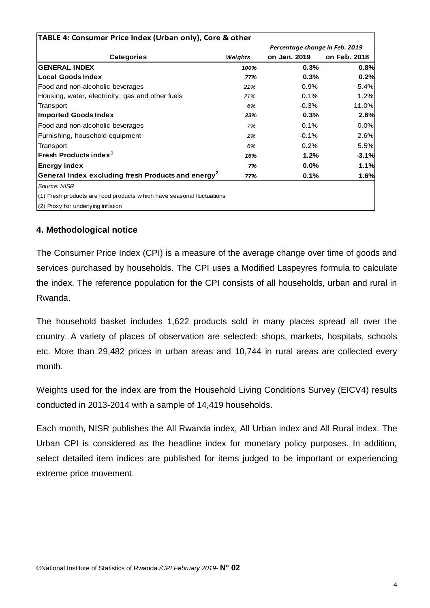| TABLE 4: Consumer Price Index (Urban only), Core & other               |         |                                |              |  |  |  |
|------------------------------------------------------------------------|---------|--------------------------------|--------------|--|--|--|
|                                                                        |         | Percentage change in Feb. 2019 |              |  |  |  |
| <b>Categories</b>                                                      | Weights | on Jan. 2019                   | on Feb. 2018 |  |  |  |
| <b>GENERAL INDEX</b>                                                   | 100%    | 0.3%                           | 0.8%         |  |  |  |
| <b>Local Goods Index</b>                                               | 77%     | 0.3%                           | 0.2%         |  |  |  |
| Food and non-alcoholic beverages                                       | 21%     | 0.9%                           | $-5.4%$      |  |  |  |
| Housing, water, electricity, gas and other fuels                       | 21%     | 0.1%                           | 1.2%         |  |  |  |
| Transport                                                              | 6%      | $-0.3%$                        | 11.0%        |  |  |  |
| <b>Imported Goods Index</b>                                            | 23%     | 0.3%                           | 2.6%         |  |  |  |
| Food and non-alcoholic beverages                                       | 7%      | 0.1%                           | 0.0%         |  |  |  |
| Furnishing, household equipment                                        | 2%      | $-0.1%$                        | 2.6%         |  |  |  |
| Transport                                                              | 6%      | 0.2%                           | 5.5%         |  |  |  |
| Fresh Products index <sup>1</sup>                                      | 16%     | 1.2%                           | $-3.1%$      |  |  |  |
| <b>Energy index</b>                                                    | 7%      | 0.0%                           | 1.1%         |  |  |  |
| General Index excluding fresh Products and energy <sup>2</sup>         | 77%     | 0.1%                           | 1.6%         |  |  |  |
| Source: NISR                                                           |         |                                |              |  |  |  |
| (1) Fresh products are food products w hich have seasonal fluctuations |         |                                |              |  |  |  |
| (2) Proxy for underlying inflation                                     |         |                                |              |  |  |  |

### **4. Methodological notice**

The Consumer Price Index (CPI) is a measure of the average change over time of goods and services purchased by households. The CPI uses a Modified Laspeyres formula to calculate the index. The reference population for the CPI consists of all households, urban and rural in Rwanda.

The household basket includes 1,622 products sold in many places spread all over the country. A variety of places of observation are selected: shops, markets, hospitals, schools etc. More than 29,482 prices in urban areas and 10,744 in rural areas are collected every month.

Weights used for the index are from the Household Living Conditions Survey (EICV4) results conducted in 2013-2014 with a sample of 14,419 households.

Each month, NISR publishes the All Rwanda index, All Urban index and All Rural index. The Urban CPI is considered as the headline index for monetary policy purposes. In addition, select detailed item indices are published for items judged to be important or experiencing extreme price movement.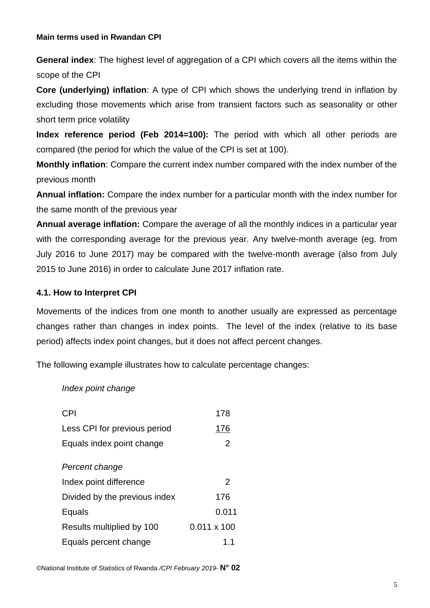#### **Main terms used in Rwandan CPI**

**General index**: The highest level of aggregation of a CPI which covers all the items within the scope of the CPI

**Core (underlying) inflation**: A type of CPI which shows the underlying trend in inflation by excluding those movements which arise from transient factors such as seasonality or other short term price volatility

**Index reference period (Feb 2014=100):** The period with which all other periods are compared (the period for which the value of the CPI is set at 100).

**Monthly inflation**: Compare the current index number compared with the index number of the previous month

**Annual inflation:** Compare the index number for a particular month with the index number for the same month of the previous year

**Annual average inflation:** Compare the average of all the monthly indices in a particular year with the corresponding average for the previous year. Any twelve-month average (eg. from July 2016 to June 2017) may be compared with the twelve-month average (also from July 2015 to June 2016) in order to calculate June 2017 inflation rate.

#### **4.1. How to Interpret CPI**

Movements of the indices from one month to another usually are expressed as percentage changes rather than changes in index points. The level of the index (relative to its base period) affects index point changes, but it does not affect percent changes.

The following example illustrates how to calculate percentage changes:

#### *Index point change*

| <b>CPI</b>                    | 178                |
|-------------------------------|--------------------|
| Less CPI for previous period  | <u> 176</u>        |
| Equals index point change     | $\overline{2}$     |
| Percent change                |                    |
| Index point difference        | 2                  |
| Divided by the previous index | 176                |
| Equals                        | 0.011              |
| Results multiplied by 100     | $0.011 \times 100$ |
| Equals percent change         | 1.1                |

©National Institute of Statistics of Rwanda */CPI February 2019*- **N° 02**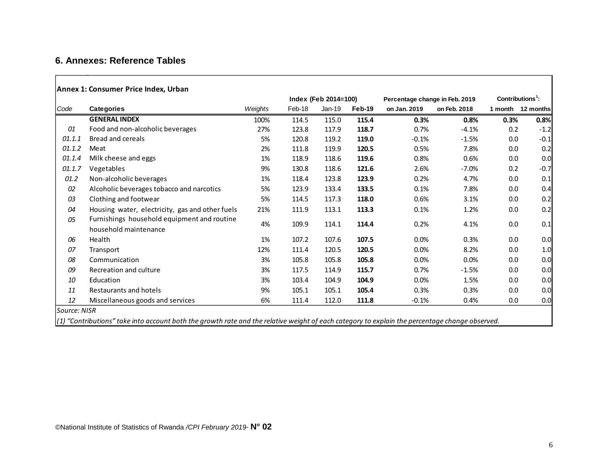## **6. Annexes: Reference Tables**

|              |                                                                                                                                                  |         | Index (Feb 2014=100) |        |        | Percentage change in Feb. 2019 | Contributions <sup>1</sup> : |      |                   |
|--------------|--------------------------------------------------------------------------------------------------------------------------------------------------|---------|----------------------|--------|--------|--------------------------------|------------------------------|------|-------------------|
| Code         | <b>Categories</b>                                                                                                                                | Weights | Feb-18               | Jan-19 | Feb-19 | on Jan. 2019                   | on Feb. 2018                 |      | 1 month 12 months |
|              | <b>GENERAL INDEX</b>                                                                                                                             | 100%    | 114.5                | 115.0  | 115.4  | 0.3%                           | 0.8%                         | 0.3% | 0.8%              |
| 01           | Food and non-alcoholic beverages                                                                                                                 | 27%     | 123.8                | 117.9  | 118.7  | 0.7%                           | $-4.1%$                      | 0.2  | $-1.2$            |
| 01.1.1       | <b>Bread and cereals</b>                                                                                                                         | 5%      | 120.8                | 119.2  | 119.0  | $-0.1%$                        | $-1.5%$                      | 0.0  | $-0.1$            |
| 01.1.2       | Meat                                                                                                                                             | 2%      | 111.8                | 119.9  | 120.5  | 0.5%                           | 7.8%                         | 0.0  | 0.2               |
| 01.1.4       | Milk cheese and eggs                                                                                                                             | 1%      | 118.9                | 118.6  | 119.6  | 0.8%                           | 0.6%                         | 0.0  | 0.0               |
| 01.1.7       | Vegetables                                                                                                                                       | 9%      | 130.8                | 118.6  | 121.6  | 2.6%                           | $-7.0%$                      | 0.2  | $-0.7$            |
| 01.2         | Non-alcoholic beverages                                                                                                                          | 1%      | 118.4                | 123.8  | 123.9  | 0.2%                           | 4.7%                         | 0.0  | 0.1               |
| 02           | Alcoholic beverages tobacco and narcotics                                                                                                        | 5%      | 123.9                | 133.4  | 133.5  | 0.1%                           | 7.8%                         | 0.0  | 0.4               |
| 03           | Clothing and footwear                                                                                                                            | 5%      | 114.5                | 117.3  | 118.0  | 0.6%                           | 3.1%                         | 0.0  | 0.2               |
| 04           | Housing water, electricity, gas and other fuels                                                                                                  | 21%     | 111.9                | 113.1  | 113.3  | 0.1%                           | 1.2%                         | 0.0  | 0.2               |
| 05           | Furnishings household equipment and routine                                                                                                      |         |                      |        |        |                                |                              |      |                   |
|              | household maintenance                                                                                                                            | 4%      | 109.9                | 114.1  | 114.4  | 0.2%                           | 4.1%                         | 0.0  | 0.1               |
| 06           | Health                                                                                                                                           | 1%      | 107.2                | 107.6  | 107.5  | $0.0\%$                        | 0.3%                         | 0.0  | 0.0               |
| 07           | Transport                                                                                                                                        | 12%     | 111.4                | 120.5  | 120.5  | 0.0%                           | 8.2%                         | 0.0  | 1.0               |
| 08           | Communication                                                                                                                                    | 3%      | 105.8                | 105.8  | 105.8  | 0.0%                           | 0.0%                         | 0.0  | 0.0               |
| 09           | Recreation and culture                                                                                                                           | 3%      | 117.5                | 114.9  | 115.7  | 0.7%                           | $-1.5%$                      | 0.0  | 0.0               |
| 10           | Education                                                                                                                                        | 3%      | 103.4                | 104.9  | 104.9  | $0.0\%$                        | 1.5%                         | 0.0  | 0.0               |
| 11           | Restaurants and hotels                                                                                                                           | 9%      | 105.1                | 105.1  | 105.4  | 0.3%                           | 0.3%                         | 0.0  | 0.0               |
| 12           | Miscellaneous goods and services                                                                                                                 | 6%      | 111.4                | 112.0  | 111.8  | $-0.1%$                        | 0.4%                         | 0.0  | 0.0               |
| Source: NISR |                                                                                                                                                  |         |                      |        |        |                                |                              |      |                   |
|              | $(1)$ "Contributions" take into account both the growth rate and the relative weight of each category to explain the percentage change observed. |         |                      |        |        |                                |                              |      |                   |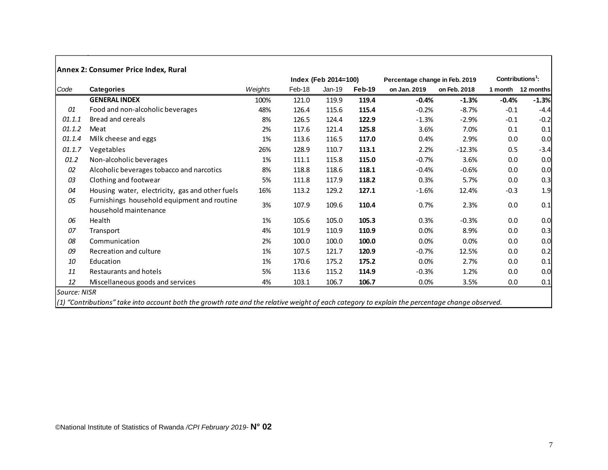|        |                                                                      |         |        | Index (Feb 2014=100) |        | Percentage change in Feb. 2019 |              | $Contributions1$ : |           |
|--------|----------------------------------------------------------------------|---------|--------|----------------------|--------|--------------------------------|--------------|--------------------|-----------|
| Code   | <b>Categories</b>                                                    | Weights | Feb-18 | Jan-19               | Feb-19 | on Jan. 2019                   | on Feb. 2018 | 1 month            | 12 months |
|        | <b>GENERAL INDEX</b>                                                 | 100%    | 121.0  | 119.9                | 119.4  | $-0.4%$                        | $-1.3%$      | $-0.4%$            | $-1.3%$   |
| 01     | Food and non-alcoholic beverages                                     | 48%     | 126.4  | 115.6                | 115.4  | $-0.2%$                        | $-8.7%$      | $-0.1$             | $-4.4$    |
| 01.1.1 | Bread and cereals                                                    | 8%      | 126.5  | 124.4                | 122.9  | $-1.3%$                        | $-2.9%$      | $-0.1$             | $-0.2$    |
| 01.1.2 | Meat                                                                 | 2%      | 117.6  | 121.4                | 125.8  | 3.6%                           | 7.0%         | 0.1                | 0.1       |
| 01.1.4 | Milk cheese and eggs                                                 | 1%      | 113.6  | 116.5                | 117.0  | 0.4%                           | 2.9%         | 0.0                | 0.0       |
| 01.1.7 | Vegetables                                                           | 26%     | 128.9  | 110.7                | 113.1  | 2.2%                           | $-12.3%$     | 0.5                | $-3.4$    |
| 01.2   | Non-alcoholic beverages                                              | 1%      | 111.1  | 115.8                | 115.0  | $-0.7%$                        | 3.6%         | 0.0                | 0.0       |
| 02     | Alcoholic beverages tobacco and narcotics                            | 8%      | 118.8  | 118.6                | 118.1  | $-0.4%$                        | $-0.6%$      | 0.0                | 0.0       |
| 03     | Clothing and footwear                                                | 5%      | 111.8  | 117.9                | 118.2  | 0.3%                           | 5.7%         | 0.0                | 0.3       |
| 04     | Housing water, electricity, gas and other fuels                      | 16%     | 113.2  | 129.2                | 127.1  | $-1.6%$                        | 12.4%        | $-0.3$             | 1.9       |
| 05     | Furnishings household equipment and routine<br>household maintenance | 3%      | 107.9  | 109.6                | 110.4  | 0.7%                           | 2.3%         | 0.0                | 0.1       |
| 06     | Health                                                               | 1%      | 105.6  | 105.0                | 105.3  | 0.3%                           | $-0.3%$      | 0.0                | 0.0       |
| 07     | Transport                                                            | 4%      | 101.9  | 110.9                | 110.9  | 0.0%                           | 8.9%         | 0.0                | 0.3       |
| 08     | Communication                                                        | 2%      | 100.0  | 100.0                | 100.0  | 0.0%                           | 0.0%         | 0.0                | 0.0       |
| 09     | Recreation and culture                                               | 1%      | 107.5  | 121.7                | 120.9  | $-0.7%$                        | 12.5%        | 0.0                | 0.2       |
| 10     | Education                                                            | 1%      | 170.6  | 175.2                | 175.2  | 0.0%                           | 2.7%         | 0.0                | 0.1       |
| 11     | Restaurants and hotels                                               | 5%      | 113.6  | 115.2                | 114.9  | $-0.3%$                        | 1.2%         | 0.0                | 0.0       |
| 12     | Miscellaneous goods and services                                     | 4%      | 103.1  | 106.7                | 106.7  | 0.0%                           | 3.5%         | 0.0                | 0.1       |

*(1) "Contributions" take into account both the growth rate and the relative weight of each category to explain the percentage change observed.*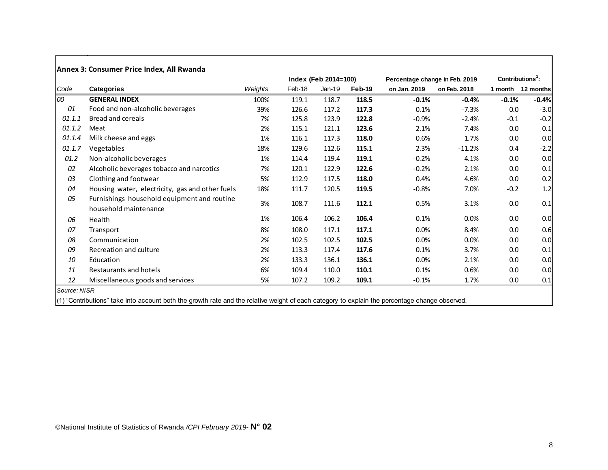|        |                                                                      |         |        | Index (Feb 2014=100) |        | Percentage change in Feb. 2019 | Contributions <sup>1</sup> : |                   |         |
|--------|----------------------------------------------------------------------|---------|--------|----------------------|--------|--------------------------------|------------------------------|-------------------|---------|
| Code   | <b>Categories</b>                                                    | Weights | Feb-18 | $Jan-19$             | Feb-19 | on Jan. 2019                   | on Feb. 2018                 | 1 month 12 months |         |
| 100    | <b>GENERAL INDEX</b>                                                 | 100%    | 119.1  | 118.7                | 118.5  | $-0.1%$                        | $-0.4%$                      | $-0.1%$           | $-0.4%$ |
| 01     | Food and non-alcoholic beverages                                     | 39%     | 126.6  | 117.2                | 117.3  | 0.1%                           | $-7.3%$                      | 0.0               | $-3.0$  |
| 01.1.1 | <b>Bread and cereals</b>                                             | 7%      | 125.8  | 123.9                | 122.8  | $-0.9%$                        | $-2.4%$                      | $-0.1$            | $-0.2$  |
| 01.1.2 | Meat                                                                 | 2%      | 115.1  | 121.1                | 123.6  | 2.1%                           | 7.4%                         | 0.0               | 0.1     |
| 01.1.4 | Milk cheese and eggs                                                 | 1%      | 116.1  | 117.3                | 118.0  | 0.6%                           | 1.7%                         | 0.0               | 0.0     |
| 01.1.7 | Vegetables                                                           | 18%     | 129.6  | 112.6                | 115.1  | 2.3%                           | $-11.2%$                     | 0.4               | $-2.2$  |
| 01.2   | Non-alcoholic beverages                                              | 1%      | 114.4  | 119.4                | 119.1  | $-0.2%$                        | 4.1%                         | 0.0               | 0.0     |
| 02     | Alcoholic beverages tobacco and narcotics                            | 7%      | 120.1  | 122.9                | 122.6  | $-0.2%$                        | 2.1%                         | 0.0               | 0.1     |
| 03     | Clothing and footwear                                                | 5%      | 112.9  | 117.5                | 118.0  | 0.4%                           | 4.6%                         | 0.0               | 0.2     |
| 04     | Housing water, electricity, gas and other fuels                      | 18%     | 111.7  | 120.5                | 119.5  | $-0.8%$                        | 7.0%                         | $-0.2$            | 1.2     |
| 05     | Furnishings household equipment and routine<br>household maintenance | 3%      | 108.7  | 111.6                | 112.1  | 0.5%                           | 3.1%                         | 0.0               | 0.1     |
| 06     | Health                                                               | 1%      | 106.4  | 106.2                | 106.4  | 0.1%                           | 0.0%                         | 0.0               | 0.0     |
| 07     | Transport                                                            | 8%      | 108.0  | 117.1                | 117.1  | $0.0\%$                        | 8.4%                         | 0.0               | 0.6     |
| 08     | Communication                                                        | 2%      | 102.5  | 102.5                | 102.5  | 0.0%                           | 0.0%                         | 0.0               | 0.0     |
| 09     | Recreation and culture                                               | 2%      | 113.3  | 117.4                | 117.6  | 0.1%                           | 3.7%                         | 0.0               | 0.1     |
| 10     | Education                                                            | 2%      | 133.3  | 136.1                | 136.1  | 0.0%                           | 2.1%                         | 0.0               | 0.0     |
| 11     | Restaurants and hotels                                               | 6%      | 109.4  | 110.0                | 110.1  | 0.1%                           | 0.6%                         | 0.0               | 0.0     |
| 12     | Miscellaneous goods and services                                     | 5%      | 107.2  | 109.2                | 109.1  | $-0.1%$                        | 1.7%                         | 0.0               | 0.1     |